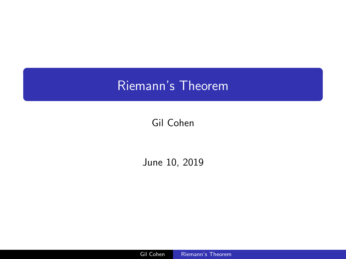# <span id="page-0-0"></span>Riemann's Theorem

## Gil Cohen

June 10, 2019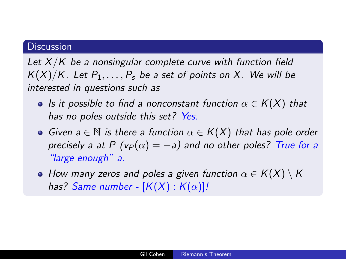#### **Discussion**

Let  $X/K$  be a nonsingular complete curve with function field  $K(X)/K$ . Let  $P_1, \ldots, P_s$  be a set of points on X. We will be interested in questions such as

- Is it possible to find a nonconstant function  $\alpha \in K(X)$  that has no poles outside this set? Yes.
- Given  $a \in \mathbb{N}$  is there a function  $\alpha \in K(X)$  that has pole order precisely a at P ( $v_P(\alpha) = -a$ ) and no other poles? True for a "large enough" a.
- How many zeros and poles a given function  $\alpha \in K(X) \setminus K$ has? Same number -  $[K(X):K(\alpha)]!$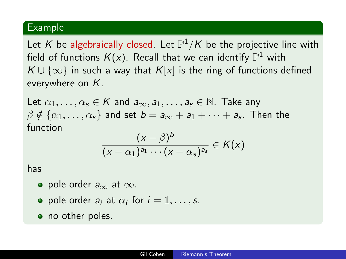### Example

Let  $K$  be algebraically closed. Let  $\mathbb{P}^1/K$  be the projective line with field of functions  $K(x)$ . Recall that we can identify  $\mathbb{P}^1$  with  $K \cup \{\infty\}$  in such a way that  $K[x]$  is the ring of functions defined everywhere on K.

Let  $\alpha_1, \ldots, \alpha_s \in K$  and  $a_{\infty}, a_1, \ldots, a_s \in \mathbb{N}$ . Take any  $\beta \notin \{\alpha_1,\ldots,\alpha_s\}$  and set  $b = \mathsf{a}_\infty + \mathsf{a}_1 + \cdots + \mathsf{a}_s.$  Then the function

$$
\frac{(x-\beta)^b}{(x-\alpha_1)^{a_1}\cdots(x-\alpha_s)^{a_s}}\in K(x)
$$

has

- pole order  $a_{\infty}$  at  $\infty$ .
- pole order  $a_i$  at  $\alpha_i$  for  $i = 1, \ldots, s$ .
- no other poles.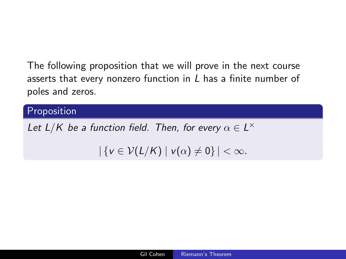The following proposition that we will prove in the next course asserts that every nonzero function in L has a finite number of poles and zeros.

## **Proposition**

Let  $L/K$  be a function field. Then, for every  $\alpha \in L^{\times}$ 

 $|\{v \in \mathcal{V}(L/K) \mid v(\alpha) \neq 0\}| < \infty$ .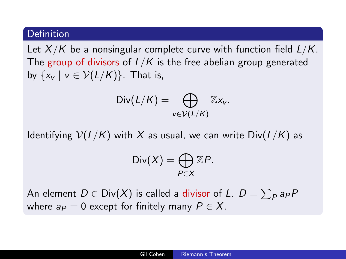Let  $X/K$  be a nonsingular complete curve with function field  $L/K$ . The group of divisors of  $L/K$  is the free abelian group generated by  $\{x_v \mid v \in \mathcal{V}(L/K)\}\)$ . That is,

$$
\text{Div}(L/K) = \bigoplus_{v \in \mathcal{V}(L/K)} \mathbb{Z} x_v.
$$

Identifying  $V(L/K)$  with X as usual, we can write  $Div(L/K)$  as

$$
\text{Div}(X) = \bigoplus_{P \in X} \mathbb{Z}P.
$$

An element  $D\in\mathsf{Div}(X)$  is called a divisor of L.  $D=\sum_P a_P P$ where  $a_P = 0$  except for finitely many  $P \in X$ .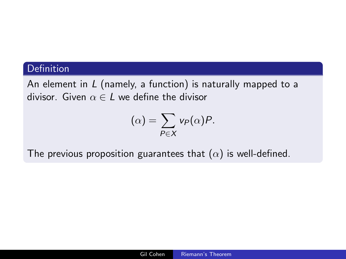An element in  $L$  (namely, a function) is naturally mapped to a divisor. Given  $\alpha \in L$  we define the divisor

$$
(\alpha)=\sum_{P\in X}v_P(\alpha)P.
$$

The previous proposition guarantees that  $(\alpha)$  is well-defined.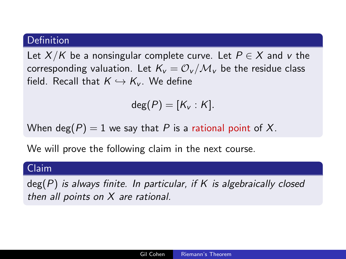Let  $X/K$  be a nonsingular complete curve. Let  $P \in X$  and v the corresponding valuation. Let  $K_v = \mathcal{O}_v/\mathcal{M}_v$  be the residue class field. Recall that  $K \hookrightarrow K_{\nu}$ . We define

$$
\deg(P)=[K_v:K].
$$

When deg(P) = 1 we say that P is a rational point of X.

We will prove the following claim in the next course.

#### Claim

 $deg(P)$  is always finite. In particular, if K is algebraically closed then all points on X are rational.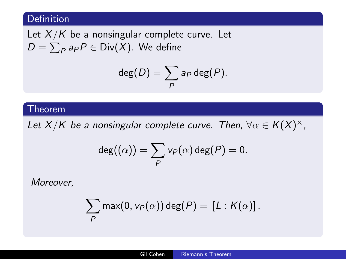Let  $X/K$  be a nonsingular complete curve. Let  $D=\sum_Pa_P P\in \mathsf{Div}(X).$  We define

$$
\deg(D)=\sum_{P}a_{P}\deg(P).
$$

#### Theorem

Let  $X/K$  be a nonsingular complete curve. Then,  $\forall \alpha \in K(X)^{\times}$ ,

$$
\deg((\alpha)) = \sum_{P} v_P(\alpha) \deg(P) = 0.
$$

Moreover,

$$
\sum_{P} \max(0, v_P(\alpha)) \deg(P) = [L : K(\alpha)].
$$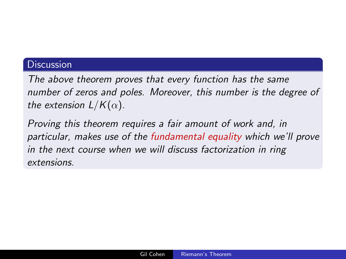#### **Discussion**

The above theorem proves that every function has the same number of zeros and poles. Moreover, this number is the degree of the extension  $L/K(\alpha)$ .

Proving this theorem requires a fair amount of work and, in particular, makes use of the fundamental equality which we'll prove in the next course when we will discuss factorization in ring extensions.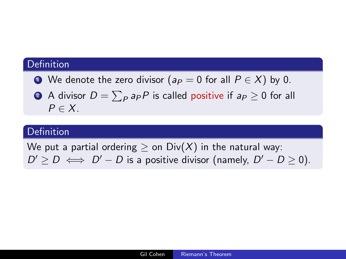- We denote the zero divisor ( $a_P = 0$  for all  $P \in X$ ) by 0.
- $\bullet$  A divisor  $D=\sum_Pa_PP$  is called positive if  $a_P\geq 0$  for all  $P \in X$ .

### Definition

We put a partial ordering  $\geq$  on Div(X) in the natural way:  $D' \ge D \iff D' - D$  is a positive divisor (namely,  $D' - D \ge 0$ ).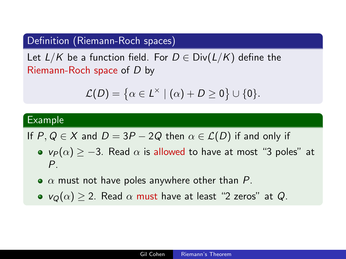## Definition (Riemann-Roch spaces)

Let  $L/K$  be a function field. For  $D \in Div(L/K)$  define the Riemann-Roch space of D by

$$
\mathcal{L}(D) = \left\{ \alpha \in L^{\times} \mid (\alpha) + D \geq 0 \right\} \cup \{0\}.
$$

#### Example

If P,  $Q \in X$  and  $D = 3P - 2Q$  then  $\alpha \in \mathcal{L}(D)$  if and only if

- $v_P(\alpha) \ge -3$ . Read  $\alpha$  is allowed to have at most "3 poles" at P.
- $\bullet$   $\alpha$  must not have poles anywhere other than P.
- $v_{\Omega}(\alpha) \geq 2$ . Read  $\alpha$  must have at least "2 zeros" at Q.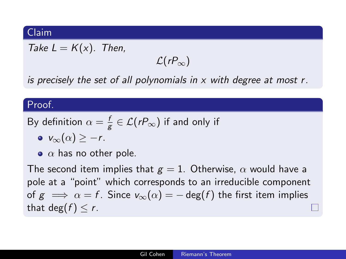#### Claim

Take  $L = K(x)$ . Then,

 $\mathcal{L}(rP_\infty)$ 

is precisely the set of all polynomials in  $x$  with degree at most  $r$ .

#### Proof.

By definition 
$$
\alpha = \frac{f}{g} \in \mathcal{L}(rP_{\infty})
$$
 if and only if

$$
\bullet \ \mathsf{v}_{\infty}(\alpha) \geq -r.
$$

 $\bullet$   $\alpha$  has no other pole.

The second item implies that  $g = 1$ . Otherwise,  $\alpha$  would have a pole at a "point" which corresponds to an irreducible component of  $g \implies \alpha = f$ . Since  $v_{\infty}(\alpha) = -\deg(f)$  the first item implies that deg( $f$ )  $\leq r$ .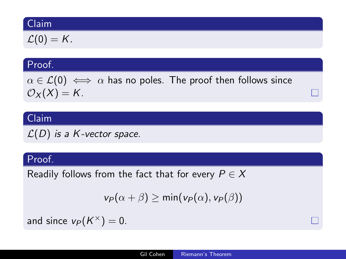### Claim

$$
\mathcal{L}(0)=K.
$$

### Proof.

 $\alpha \in \mathcal{L}(0) \iff \alpha$  has no poles. The proof then follows since  $\mathcal{O}_X(X) = K$ .

## Claim

 $L(D)$  is a K-vector space.

#### Proof.

Readily follows from the fact that for every  $P \in X$ 

$$
v_P(\alpha+\beta) \geq \min(v_P(\alpha), v_P(\beta))
$$

and since  $v_P(K^{\times})=0$ .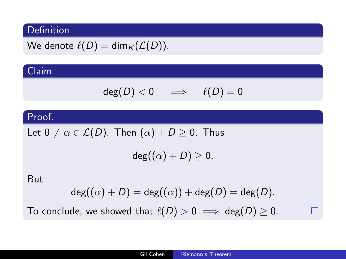We denote 
$$
\ell(D) = \dim_K(\mathcal{L}(D))
$$
.

## Claim

$$
\deg(D)<0\quad\implies\quad\ell(D)=0
$$

## Proof.

Let  $0 \neq \alpha \in \mathcal{L}(D)$ . Then  $(\alpha) + D \geq 0$ . Thus

 $deg((\alpha) + D) \geq 0.$ 

But

$$
\mathsf{deg}((\alpha)+D)=\mathsf{deg}((\alpha))+\mathsf{deg}(D)=\mathsf{deg}(D).
$$

To conclude, we showed that  $\ell(D) > 0 \implies \deg(D) \ge 0$ .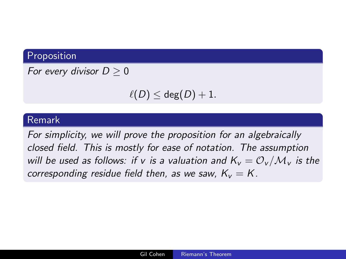## Proposition

For every divisor  $D > 0$ 

 $\ell(D) \leq$  deg $(D) + 1$ .

### Remark

For simplicity, we will prove the proposition for an algebraically closed field. This is mostly for ease of notation. The assumption will be used as follows: if v is a valuation and  $K_v = \mathcal{O}_v/\mathcal{M}_v$  is the corresponding residue field then, as we saw,  $K_v = K$ .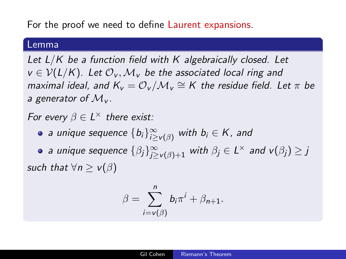## For the proof we need to define Laurent expansions.

#### Lemma

Let  $L/K$  be a function field with  $K$  algebraically closed. Let  $v \in V(L/K)$ . Let  $\mathcal{O}_V$ ,  $\mathcal{M}_V$  be the associated local ring and maximal ideal, and  $K_v = \mathcal{O}_v/\mathcal{M}_v \cong K$  the residue field. Let  $\pi$  be a generator of  $\mathcal{M}_{V}$ .

For every  $\beta \in L^{\times}$  there exist:

a unique sequence  $\{b_i\}_{i\geq \mathsf{v}(\beta)}^\infty$  with  $b_i\in \mathsf{K}$  , and

a unique sequence  $\{\beta_j\}_{j \geq {\textsf{v}}(\beta)+1}^{\infty}$  with  $\beta_j \in L^{\times}$  and  ${\textsf{v}}(\beta_j) \geq j$ such that  $\forall n > v(\beta)$ 

$$
\beta = \sum_{i=v(\beta)}^n b_i \pi^i + \beta_{n+1}.
$$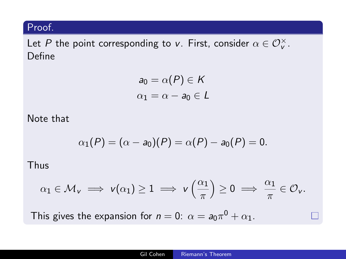## Proof.

Let P the point corresponding to v. First, consider  $\alpha \in \mathcal{O}_v^\times$ . Define

$$
a_0 = \alpha(P) \in K
$$
  

$$
\alpha_1 = \alpha - a_0 \in L
$$

Note that

$$
\alpha_1(P) = (\alpha - a_0)(P) = \alpha(P) - a_0(P) = 0.
$$

Thus

$$
\alpha_1\in\mathcal{M}_v\implies v(\alpha_1)\geq 1\implies v\left(\frac{\alpha_1}{\pi}\right)\geq 0\implies \frac{\alpha_1}{\pi}\in\mathcal{O}_v.
$$

This gives the expansion for  $n=0$ :  $\alpha=a_0\pi^0+\alpha_1$ .

П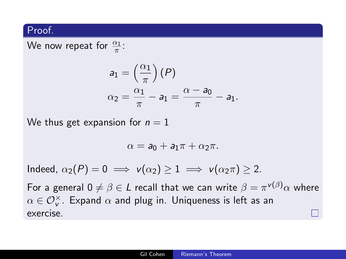#### Proof.

We now repeat for  $\frac{\alpha_1}{\pi}$ :

$$
a_1 = \left(\frac{\alpha_1}{\pi}\right)(P)
$$
  
\n
$$
\alpha_2 = \frac{\alpha_1}{\pi} - a_1 = \frac{\alpha - a_0}{\pi} - a_1.
$$

We thus get expansion for  $n = 1$ 

$$
\alpha = \mathbf{a}_0 + \mathbf{a}_1 \pi + \alpha_2 \pi.
$$

Indeed,  $\alpha_2(P) = 0 \implies v(\alpha_2) \geq 1 \implies v(\alpha_2 \pi) \geq 2$ .

For a general  $0\neq \beta \in L$  recall that we can write  $\beta=\pi^{\nu(\beta)}\alpha$  where  $\alpha\in{\mathcal O}_\mathsf{v}^\times.$  Expand  $\alpha$  and plug in. Uniqueness is left as an exercise.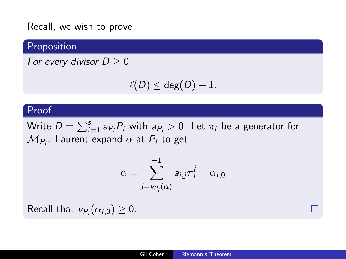Recall, we wish to prove

## Proposition

For every divisor  $D \geq 0$ 

$$
\ell(D)\leq \deg(D)+1.
$$

#### Proof.

Write  $D = \sum_{i=1}^s a_{P_i} P_i$  with  $a_{P_i} > 0$ . Let  $\pi_i$  be a generator for  $\mathcal{M}_{P_i}.$  Laurent expand  $\alpha$  at  $P_i$  to get

$$
\alpha = \sum_{j=v_{P_i}(\alpha)}^{-1} a_{i,j} \pi_i^j + \alpha_{i,0}
$$

Recall that  $v_{P_i}(\alpha_{i,0}) \geq 0$ .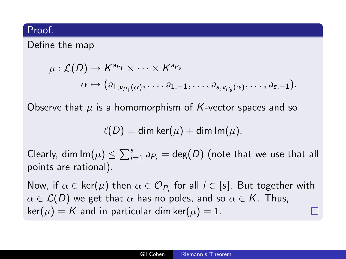#### Proof.

## Define the map

$$
\mu:\mathcal{L}(D)\to K^{a_{P_1}}\times\cdots\times K^{a_{P_s}}\n\n\alpha\mapsto (a_{1,\nu_{P_1}(\alpha)},\ldots,a_{1,-1},\ldots,a_{s,\nu_{P_s}(\alpha)},\ldots,a_{s,-1}).
$$

Observe that  $\mu$  is a homomorphism of K-vector spaces and so

$$
\ell(D) = \dim \ker(\mu) + \dim \operatorname{Im}(\mu).
$$

Clearly,  $\dim \mathsf{Im}(\mu) \leq \sum_{i=1}^s a_{P_i} = \deg(D)$  (note that we use that all points are rational).

Now, if  $\alpha\in\mathsf{ker}(\mu)$  then  $\alpha\in\mathcal{O}_{P_i}$  for all  $i\in[s].$  But together with  $\alpha \in \mathcal{L}(D)$  we get that  $\alpha$  has no poles, and so  $\alpha \in \mathcal{K}$ . Thus,  $\ker(\mu) = K$  and in particular dim ker $(\mu) = 1$ .